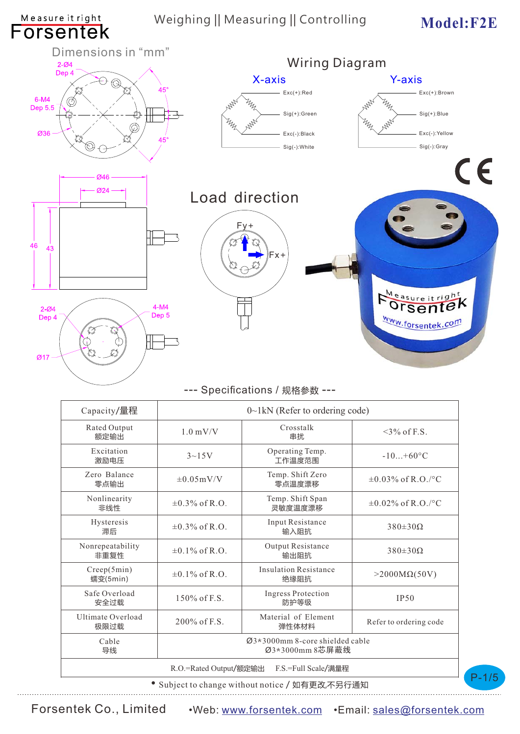# Weighing || Measuring || Controlling Model: F2E

Measure it right

P-1/5



#### --- Specifications / 规格参数 ---

| Capacity/量程                                   | $0 \sim 1$ kN (Refer to ordering code)                          |                                      |                         |
|-----------------------------------------------|-----------------------------------------------------------------|--------------------------------------|-------------------------|
| Rated Output<br>额定输出                          | $1.0 \text{ mV/V}$                                              | Crosstalk<br>串扰                      | $\leq$ 3% of F.S.       |
| Excitation<br>激励电压                            | $3{\sim}15V$                                                    | Operating Temp.<br>工作温度范围            | $-10+60^{\circ}C$       |
| Zero Balance<br>零点输出                          | $\pm 0.05$ mV/V                                                 | Temp. Shift Zero<br>零点温度漂移           | $\pm 0.03\%$ of R.O./°C |
| Nonlinearity<br>非线性                           | $\pm 0.3\%$ of R.O.                                             | Temp. Shift Span<br>灵敏度温度漂移          | $\pm 0.02\%$ of R.O./°C |
| Hysteresis<br>滞后                              | $\pm 0.3\%$ of R.O.                                             | Input Resistance<br>输入阴抗             | $380\pm30\Omega$        |
| Nonrepeatability<br>非重复性                      | $\pm 0.1\%$ of R.O.                                             | Output Resistance<br>输出阻抗            | $380\pm30\Omega$        |
| Creep(5min)<br>蠕变(5min)                       | $\pm 0.1\%$ of R.O.                                             | <b>Insulation Resistance</b><br>绝缘阻抗 | $>2000M\Omega(50V)$     |
| Safe Overload<br>安全过载                         | $150\%$ of F.S.                                                 | <b>Ingress Protection</b><br>防护等级    | IP50                    |
| <b>Ultimate Overload</b><br>极限过载              | 200\% of F.S.                                                   | Material of Element<br>弹性体材料         | Refer to ordering code  |
| Cable<br>导线                                   | $\varnothing$ 3*3000mm 8-core shielded cable<br>Ø3*3000mm 8芯屏蔽线 |                                      |                         |
| R.O.=Rated Output/额定输出<br>F.S.=Full Scale/满量程 |                                                                 |                                      |                         |

• Subject to change without notice / 如有更改,不另行通知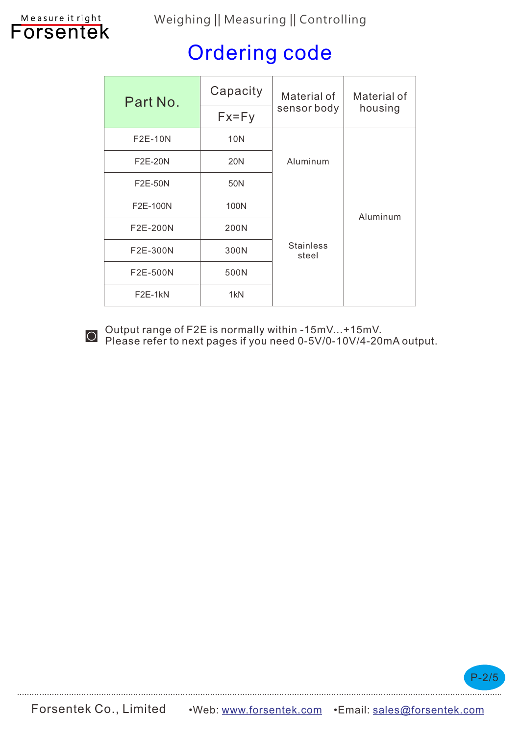### Weighing || Measuring || Controlling

# Measure it right<br>**FOISENTEK**

# Ordering code

| Part No.       | Capacity<br>Material of |                                       | Material of |
|----------------|-------------------------|---------------------------------------|-------------|
|                | $Fx=Fy$                 | sensor body                           | housing     |
| F2E-10N        | 10N                     |                                       |             |
| F2E-20N        | 20N                     | Aluminum                              |             |
| <b>F2E-50N</b> | 50N                     |                                       |             |
| F2E-100N       | 100N                    | Aluminum<br><b>Stainless</b><br>steel |             |
| F2E-200N       | 200N                    |                                       |             |
| F2E-300N       | 300N                    |                                       |             |
| F2E-500N       | 500N                    |                                       |             |
| $F2E-1kN$      | 1 <sub>kN</sub>         |                                       |             |



Output range of F2E is normally within -15mV...+15mV.<br>
Please refer to next pages if you need 0-5V/0-10V/4-20mA output.

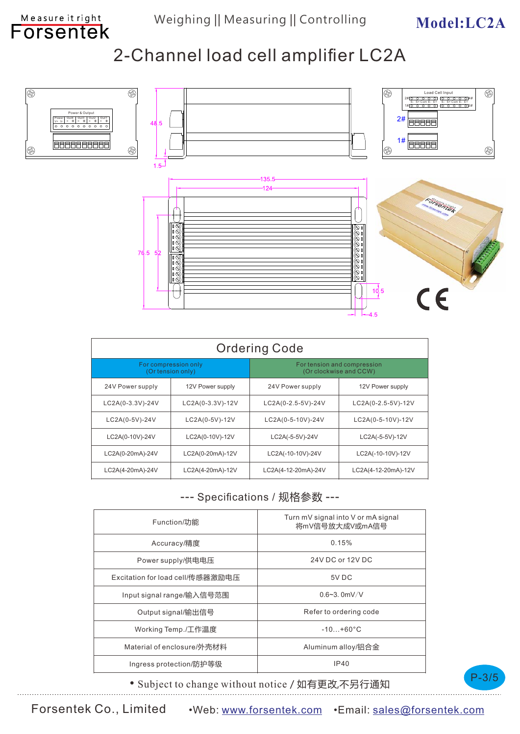# **Model:LC2A**

# 2-Channel load cell amplifier LC2A



| <b>Ordering Code</b>                      |                  |                                                       |                     |  |
|-------------------------------------------|------------------|-------------------------------------------------------|---------------------|--|
| For compression only<br>(Or tension only) |                  | For tension and compression<br>(Or clockwise and CCW) |                     |  |
| 24V Power supply                          | 12V Power supply | 24V Power supply                                      | 12V Power supply    |  |
| LC2A(0-3.3V)-24V                          | LC2A(0-3.3V)-12V | LC2A(0-2.5-5V)-24V                                    | LC2A(0-2.5-5V)-12V  |  |
| LC2A(0-5V)-24V                            | LC2A(0-5V)-12V   | LC2A(0-5-10V)-24V                                     | LC2A(0-5-10V)-12V   |  |
| LC2A(0-10V)-24V                           | LC2A(0-10V)-12V  | LC2A(-5-5V)-24V                                       | LC2A(-5-5V)-12V     |  |
| LC2A(0-20mA)-24V                          | LC2A(0-20mA)-12V | LC2A(-10-10V)-24V                                     | LC2A(-10-10V)-12V   |  |
| LC2A(4-20mA)-24V                          | LC2A(4-20mA)-12V | LC2A(4-12-20mA)-24V                                   | LC2A(4-12-20mA)-12V |  |

#### --- Specifications / 规格参数 ---

| Function/功能                      | Turn mV signal into V or mA signal<br>将mV信号放大成V或mA信号 |  |
|----------------------------------|------------------------------------------------------|--|
| Accuracy/精度                      | 0.15%                                                |  |
| Power supply/供电电压                | 24V DC or 12V DC                                     |  |
| Excitation for load cell/传感器激励电压 | 5V DC                                                |  |
| Input signal range/输入信号范围        | $0.6 - 3.0$ mV/V                                     |  |
| Output signal/输出信号               | Refer to ordering code                               |  |
| Working Temp./工作温度               | $-10 + 60^{\circ}$ C                                 |  |
| Material of enclosure/外壳材料       | Aluminum alloy/铝合金                                   |  |
| Ingress protection/防护等级          | IP40                                                 |  |



• Subject to change without notice / 如有更改,不另行通知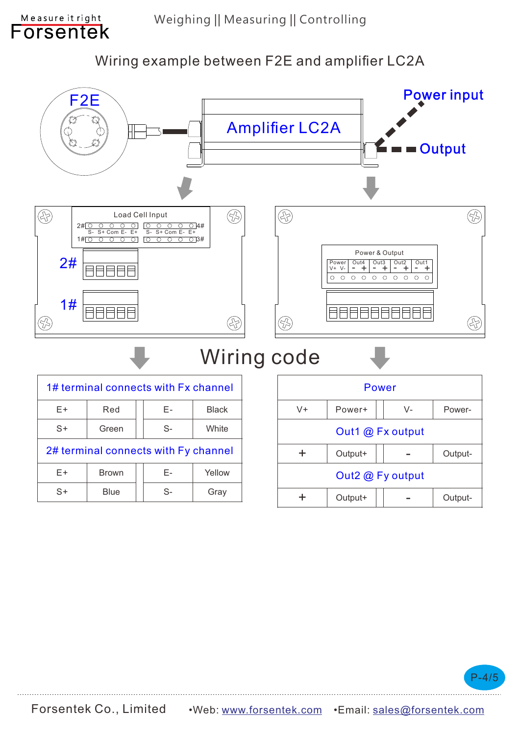Wiring example between F2E and amplifier LC2A